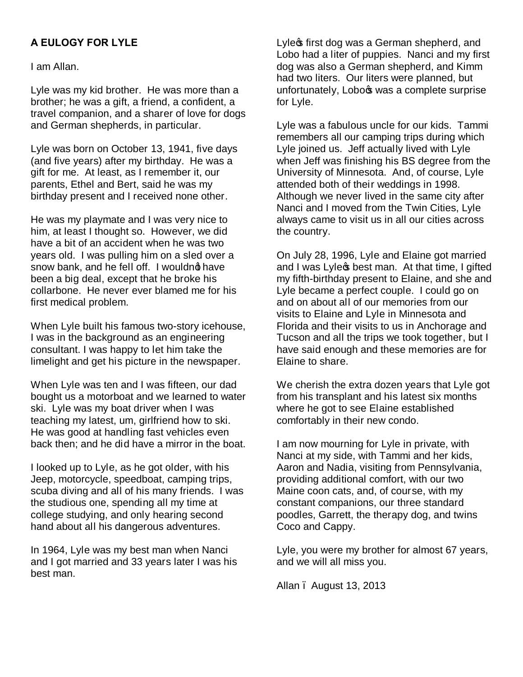## **A EULOGY FOR LYLE**

I am Allan.

Lyle was my kid brother. He was more than a brother; he was a gift, a friend, a confident, a travel companion, and a sharer of love for dogs and German shepherds, in particular.

Lyle was born on October 13, 1941, five days (and five years) after my birthday. He was a gift for me. At least, as I remember it, our parents, Ethel and Bert, said he was my birthday present and I received none other.

He was my playmate and I was very nice to him, at least I thought so. However, we did have a bit of an accident when he was two years old. I was pulling him on a sled over a snow bank, and he fell off. I wouldnd have been a big deal, except that he broke his collarbone. He never ever blamed me for his first medical problem.

When Lyle built his famous two-story icehouse, I was in the background as an engineering consultant. I was happy to let him take the limelight and get his picture in the newspaper.

When Lyle was ten and I was fifteen, our dad bought us a motorboat and we learned to water ski. Lyle was my boat driver when I was teaching my latest, um, girlfriend how to ski. He was good at handling fast vehicles even back then; and he did have a mirror in the boat.

I looked up to Lyle, as he got older, with his Jeep, motorcycle, speedboat, camping trips, scuba diving and all of his many friends. I was the studious one, spending all my time at college studying, and only hearing second hand about all his dangerous adventures.

In 1964, Lyle was my best man when Nanci and I got married and 33 years later I was his best man.

Lyle<sub>s</sub> first dog was a German shepherd, and Lobo had a liter of puppies. Nanci and my first dog was also a German shepherd, and Kimm had two liters. Our liters were planned, but unfortunately, Lobo<sup>o</sup>s was a complete surprise for Lyle.

Lyle was a fabulous uncle for our kids. Tammi remembers all our camping trips during which Lyle joined us. Jeff actually lived with Lyle when Jeff was finishing his BS degree from the University of Minnesota. And, of course, Lyle attended both of their weddings in 1998. Although we never lived in the same city after Nanci and I moved from the Twin Cities, Lyle always came to visit us in all our cities across the country.

On July 28, 1996, Lyle and Elaine got married and I was Lyles best man. At that time, I gifted my fifth-birthday present to Elaine, and she and Lyle became a perfect couple. I could go on and on about all of our memories from our visits to Elaine and Lyle in Minnesota and Florida and their visits to us in Anchorage and Tucson and all the trips we took together, but I have said enough and these memories are for Elaine to share.

We cherish the extra dozen years that Lyle got from his transplant and his latest six months where he got to see Elaine established comfortably in their new condo.

I am now mourning for Lyle in private, with Nanci at my side, with Tammi and her kids, Aaron and Nadia, visiting from Pennsylvania, providing additional comfort, with our two Maine coon cats, and, of course, with my constant companions, our three standard poodles, Garrett, the therapy dog, and twins Coco and Cappy.

Lyle, you were my brother for almost 67 years, and we will all miss you.

Allan – August 13, 2013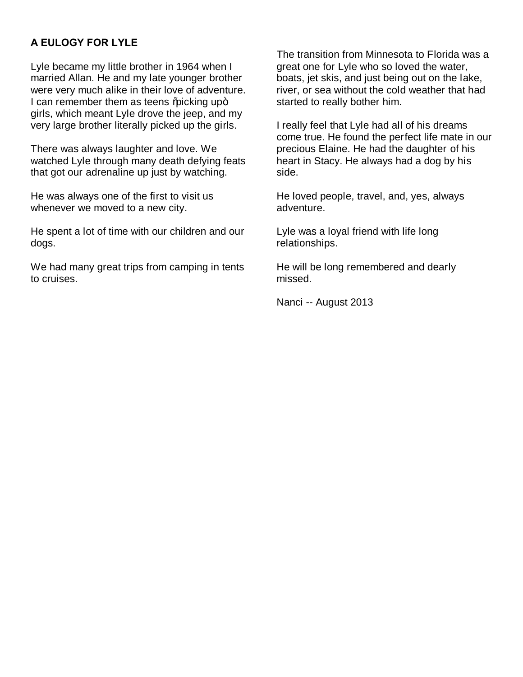## **A EULOGY FOR LYLE**

Lyle became my little brother in 1964 when I married Allan. He and my late younger brother were very much alike in their love of adventure. I can remember them as teens %picking up+ girls, which meant Lyle drove the jeep, and my very large brother literally picked up the girls.

There was always laughter and love. We watched Lyle through many death defying feats that got our adrenaline up just by watching.

He was always one of the first to visit us whenever we moved to a new city.

He spent a lot of time with our children and our dogs.

We had many great trips from camping in tents to cruises.

The transition from Minnesota to Florida was a great one for Lyle who so loved the water, boats, jet skis, and just being out on the lake, river, or sea without the cold weather that had started to really bother him.

I really feel that Lyle had all of his dreams come true. He found the perfect life mate in our precious Elaine. He had the daughter of his heart in Stacy. He always had a dog by his side.

He loved people, travel, and, yes, always adventure.

Lyle was a loyal friend with life long relationships.

He will be long remembered and dearly missed.

Nanci -- August 2013